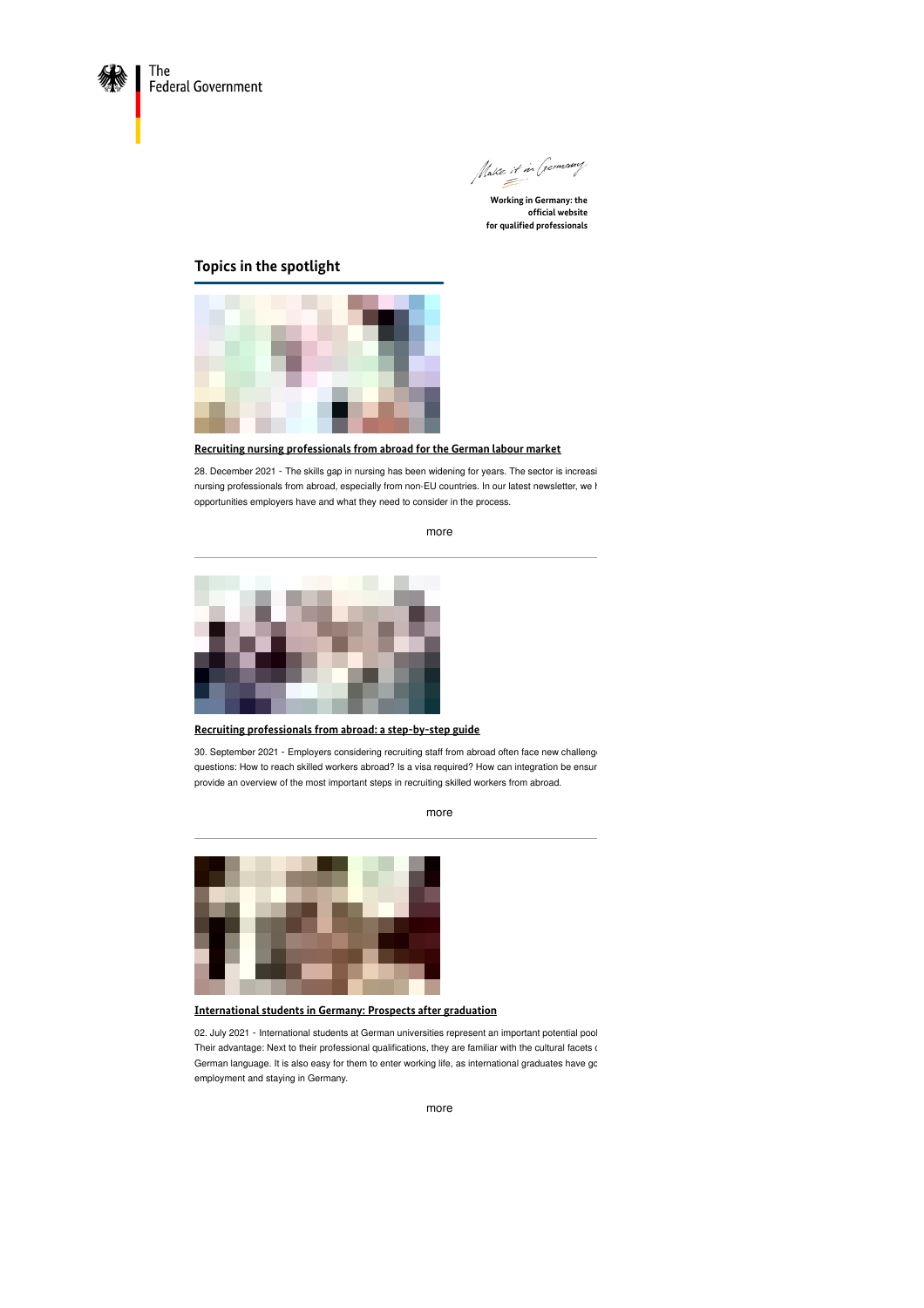



**official website for qualified professionals**

# **Topics in the spotlight**



## **Recruiting nursing [professionals](https://www.make-it-in-germany.com/en/recruiting-nursing-professionals-from-abroad-for-the-german-labour-market) from abroad for the German labour market**

28. December 2021 - The skills gap in nursing has been widening for years. The sector is increasi nursing professionals from abroad, especially from non-EU countries. In our latest newsletter, we h opportunities employers have and what they need to consider in the process.

[more](https://www.make-it-in-germany.com/en/recruiting-nursing-professionals-from-abroad-for-the-german-labour-market)



**Recruiting [professionals](https://www.make-it-in-germany.com/en/recruiting-professionals-from-abroad-a-step-by-step-guide) from abroad: a step-by-step guide**

30. September 2021 - Employers considering recruiting staff from abroad often face new challeng questions: How to reach skilled workers abroad? Is a visa required? How can integration be ensur provide an overview of the most important steps in recruiting skilled workers from abroad.

[more](https://www.make-it-in-germany.com/en/recruiting-professionals-from-abroad-a-step-by-step-guide)



**[International](https://www.make-it-in-germany.com/en/international-students-in-germany-prospects-after-graduation) students in Germany: Prospects after graduation**

02. July 2021 - International students at German universities represent an important potential pool Their advantage: Next to their professional qualifications, they are familiar with the cultural facets of German language. It is also easy for them to enter working life, as international graduates have go employment and staying in Germany.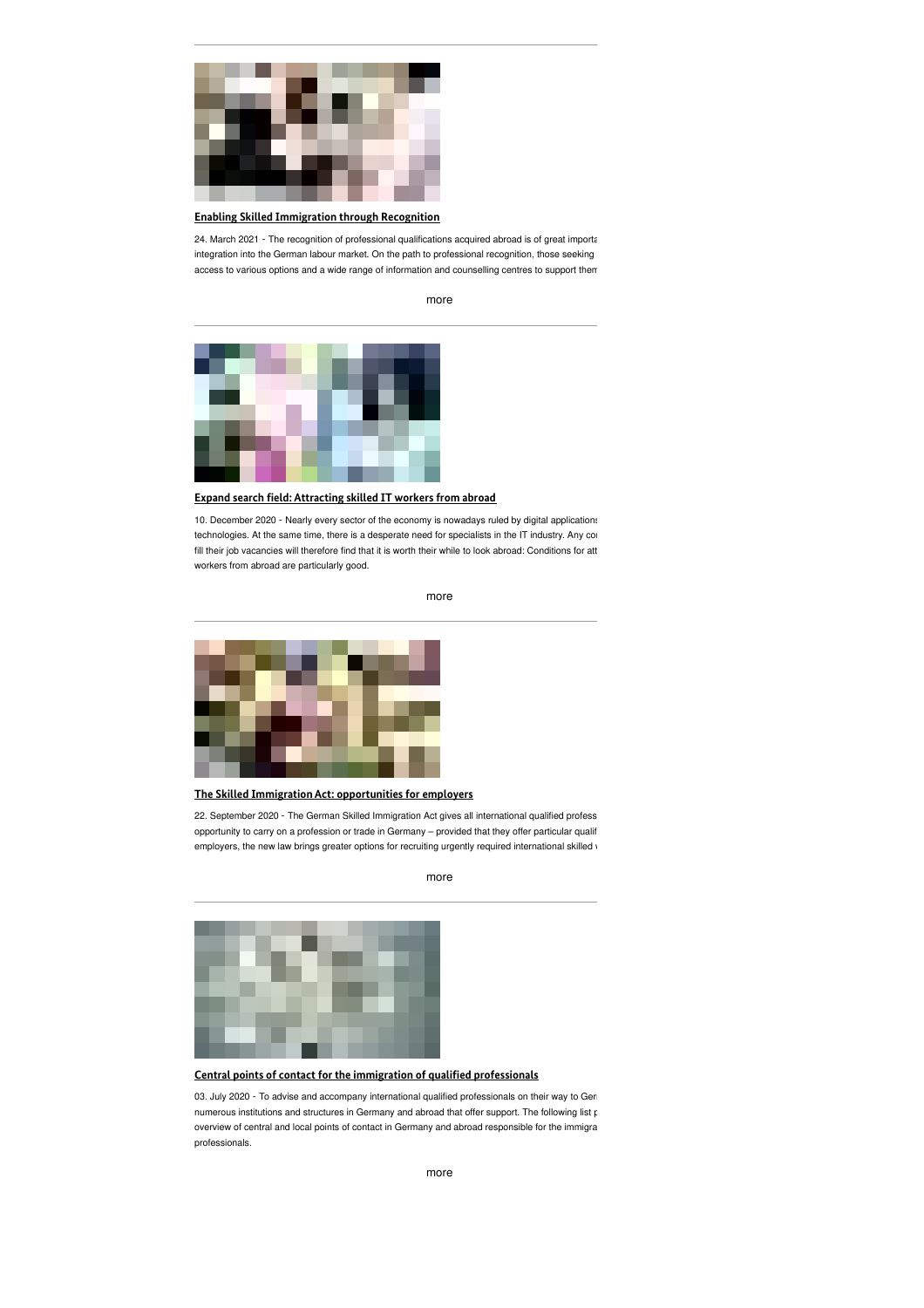

#### **Enabling Skilled [Immigration](https://www.make-it-in-germany.com/en/enabling-skilled-immigration-through-recognition) through Recognition**

24. March 2021 - The recognition of professional qualifications acquired abroad is of great importa integration into the German labour market. On the path to professional recognition, those seeking access to various options and a wide range of information and counselling centres to support them

[more](https://www.make-it-in-germany.com/en/enabling-skilled-immigration-through-recognition)



**Expand search eld: [Attracting](https://www.make-it-in-germany.com/en/expand-search-field-attracting-skilled-it-workers-from-abroad) skilled IT workers from abroad**

10. December 2020 - Nearly every sector of the economy is nowadays ruled by digital applications technologies. At the same time, there is a desperate need for specialists in the IT industry. Any cor fill their job vacancies will therefore find that it is worth their while to look abroad: Conditions for att workers from abroad are particularly good.

[more](https://www.make-it-in-germany.com/en/expand-search-field-attracting-skilled-it-workers-from-abroad)



**The Skilled Immigration Act: [opportunities](https://www.make-it-in-germany.com/en/the-skilled-immigration-act-opportunities-for-employers) for employers**

22. September 2020 - The German Skilled Immigration Act gives all international qualified profess opportunity to carry on a profession or trade in Germany – provided that they offer particular qualif employers, the new law brings greater options for recruiting urgently required international skilled v

[more](https://www.make-it-in-germany.com/en/the-skilled-immigration-act-opportunities-for-employers)



**Central points of contact for the immigration of qualied [professionals](https://www.make-it-in-germany.com/en/central-points-of-contact-for-the-immigration-of-qualified-professionals)**

03. July 2020 - To advise and accompany international qualified professionals on their way to Germany, there are numerous institutions and structures in Germany and abroad that offer support. The following list provides and overview of central and local points of contact in Germany and abroad responsible for the immigra professionals.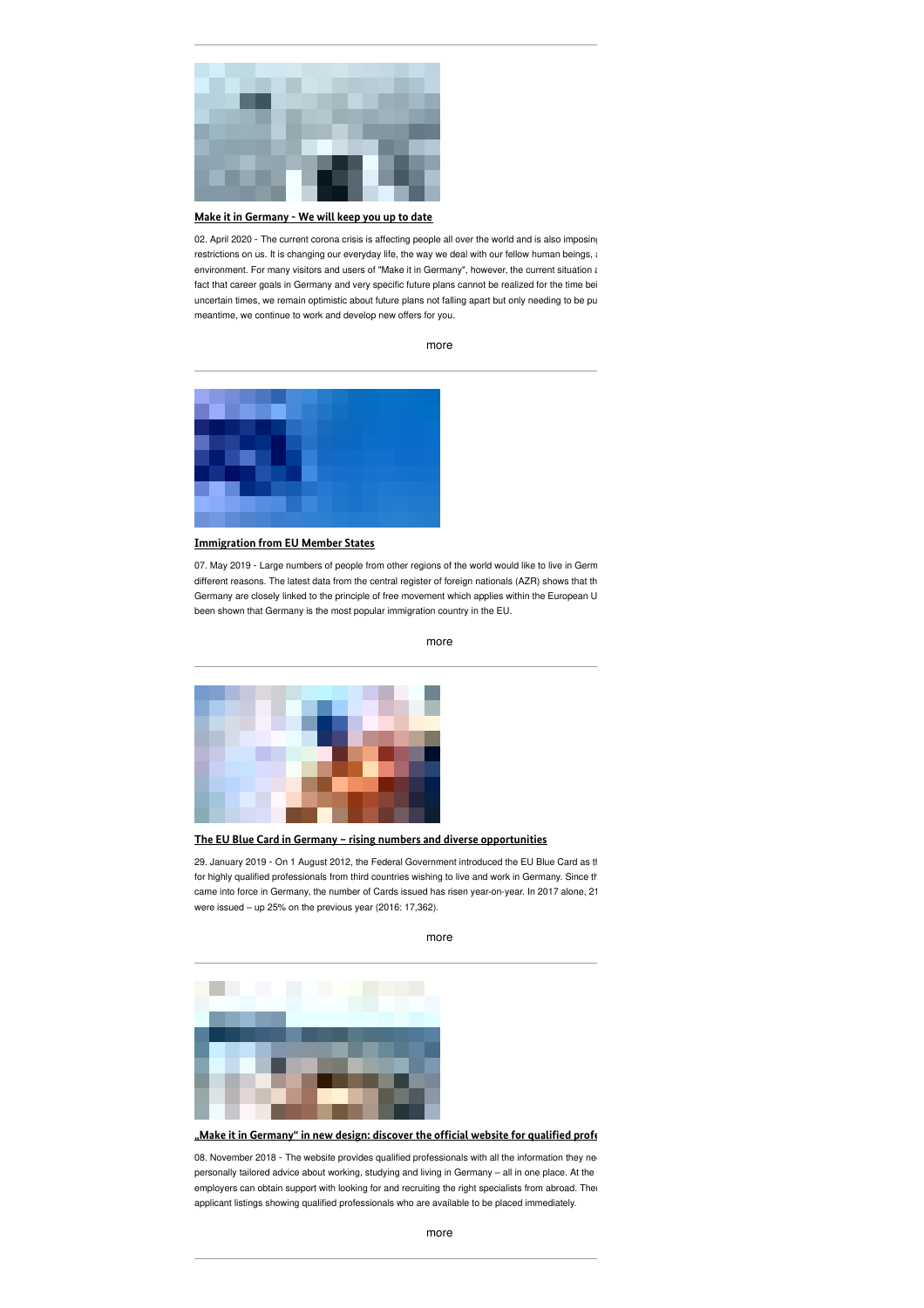

#### **Make it in [Germany](https://www.make-it-in-germany.com/en/make-it-in-germany-we-will-keep-you-up-to-date) - We will keep you up to date**

02. April 2020 - The current corona crisis is affecting people all over the world and is also imposing restrictions on us. It is changing our everyday life, the way we deal with our fellow human beings, and  $s$ environment. For many visitors and users of "Make it in Germany", however, the current situation also to the many fact that career goals in Germany and very specific future plans cannot be realized for the time bei uncertain times, we remain optimistic about future plans not falling apart but only needing to be pu meantime, we continue to work and develop new offers for you.

[more](https://www.make-it-in-germany.com/en/make-it-in-germany-we-will-keep-you-up-to-date)



#### **[Immigration](https://www.make-it-in-germany.com/en/immigration-from-eu-member-states) from EU Member States**

07. May 2019 - Large numbers of people from other regions of the world would like to live in Germ different reasons. The latest data from the central register of foreign nationals (AZR) shows that th Germany are closely linked to the principle of free movement which applies within the European U been shown that Germany is the most popular immigration country in the EU.



**The EU Blue Card in Germany – rising numbers and diverse [opportunities](https://www.make-it-in-germany.com/en/the-eu-blue-card-in-germany-rising-numbers-and-diverse-opportunities)**

29. January 2019 - On 1 August 2012, the Federal Government introduced the EU Blue Card as the for highly qualified professionals from third countries wishing to live and work in Germany. Since th came into force in Germany, the number of Cards issued has risen year-on-year. In 2017 alone, 21 were issued – up 25% on the previous year (2016: 17,362).

[more](https://www.make-it-in-germany.com/en/the-eu-blue-card-in-germany-rising-numbers-and-diverse-opportunities)

**"Make it in Germany" in new design: discover the ofcial website for qualied [professionals](https://www.make-it-in-germany.com/en/make-it-in-germany-in-new-design-discover-the-official-website-for-qualified-professionals)**

08. November 2018 - The website provides qualified professionals with all the information they need personally tailored advice about working, studying and living in Germany - all in one place. At the employers can obtain support with looking for and recruiting the right specialists from abroad. Ther applicant listings showing qualified professionals who are available to be placed immediately.

[more](https://www.make-it-in-germany.com/en/immigration-from-eu-member-states)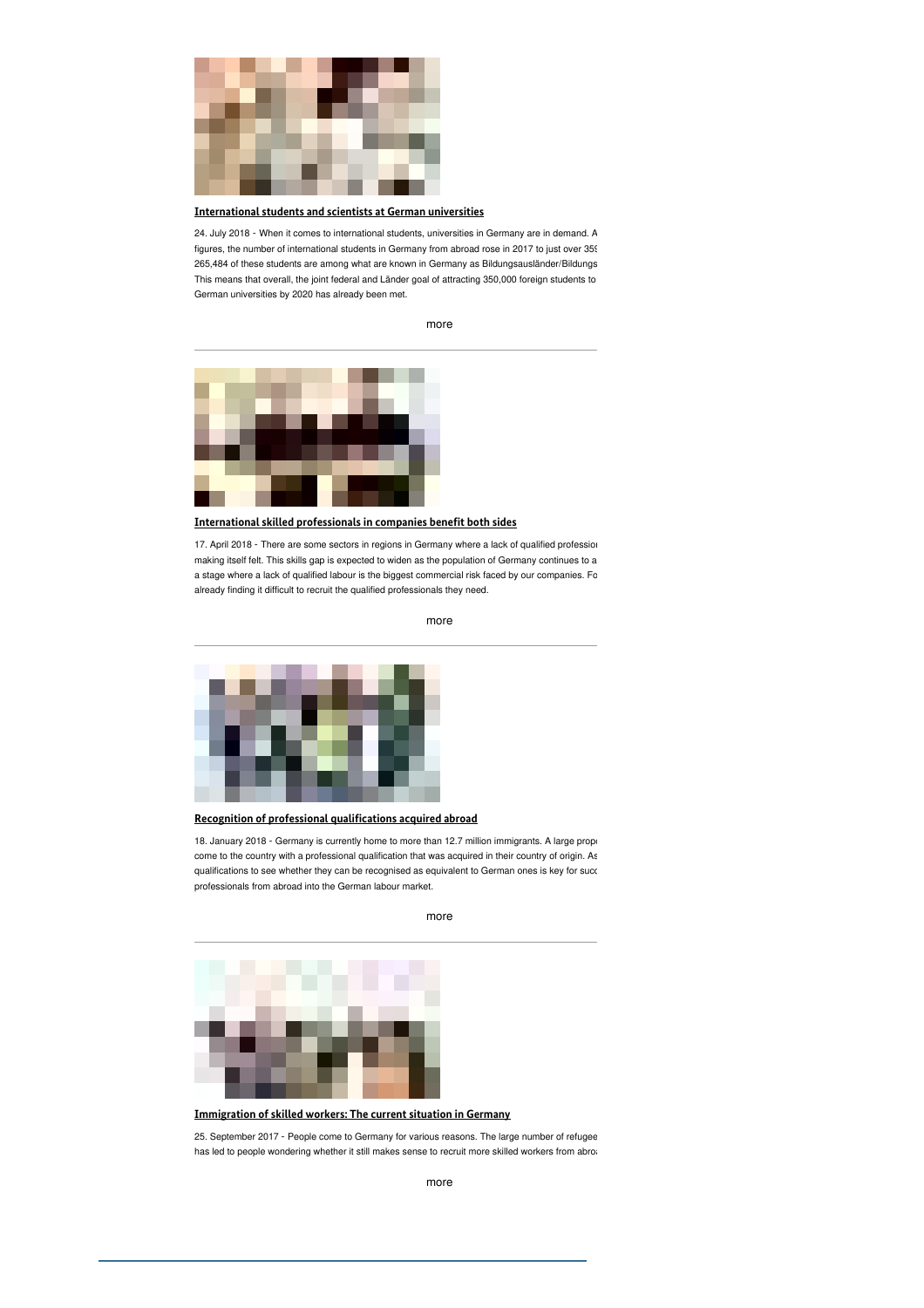

### **[International](https://www.make-it-in-germany.com/en/international-students-and-scientists-at-german-universities) students and scientists at German universities**

24. July 2018 - When it comes to international students, universities in Germany are in demand. A figures, the number of international students in Germany from abroad rose in 2017 to just over 359 265,484 of these students are among what are known in Germany as Bildungsausländer/Bildungs This means that overall, the joint federal and Länder goal of attracting 350,000 foreign students to German universities by 2020 has already been met.

[more](https://www.make-it-in-germany.com/en/international-students-and-scientists-at-german-universities)



**[International](https://www.make-it-in-germany.com/en/international-skilled-professionals-in-companies-benefit-both-sides) skilled professionals in companies benet both sides**

17. April 2018 - There are some sectors in regions in Germany where a lack of qualified profession making itself felt. This skills gap is expected to widen as the population of Germany continues to a a stage where a lack of qualified labour is the biggest commercial risk faced by our companies. Fo already finding it difficult to recruit the qualified professionals they need.

[more](https://www.make-it-in-germany.com/en/international-skilled-professionals-in-companies-benefit-both-sides)



**Recognition of professional [qualications](https://www.make-it-in-germany.com/en/recognition-of-professional-qualifications-acquired-abroad) acquired abroad**

18. January 2018 - Germany is currently home to more than 12.7 million immigrants. A large proportion come to the country with a professional qualification that was acquired in their country of origin. As qualifications to see whether they can be recognised as equivalent to German ones is key for succ professionals from abroad into the German labour market.

[more](https://www.make-it-in-germany.com/en/recognition-of-professional-qualifications-acquired-abroad)



**[Immigration](https://www.make-it-in-germany.com/en/immigration-of-skilled-workers-the-current-situation-in-germany) of skilled workers: The current situation in Germany**

25. September 2017 - People come to Germany for various reasons. The large number of refugee has led to people wondering whether it still makes sense to recruit more skilled workers from abroa